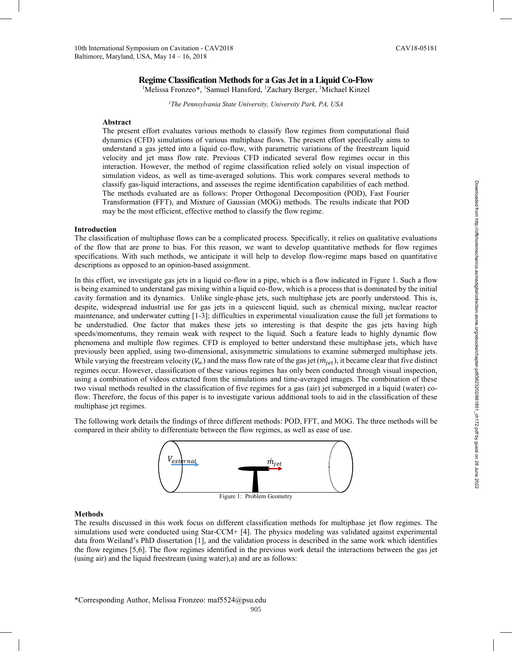# **Regime Classification Methods for a Gas Jet in a Liquid Co-Flow**

<sup>1</sup>Melissa Fronzeo\*, <sup>1</sup>Samuel Hansford, <sup>1</sup>Zachary Berger, <sup>1</sup>Michael Kinzel

*1The Pennsylvania State University, University Park, PA, USA*

## **Abstract**

The present effort evaluates various methods to classify flow regimes from computational fluid dynamics (CFD) simulations of various multiphase flows. The present effort specifically aims to understand a gas jetted into a liquid co-flow, with parametric variations of the freestream liquid velocity and jet mass flow rate. Previous CFD indicated several flow regimes occur in this interaction. However, the method of regime classification relied solely on visual inspection of simulation videos, as well as time-averaged solutions. This work compares several methods to classify gas-liquid interactions, and assesses the regime identification capabilities of each method. The methods evaluated are as follows: Proper Orthogonal Decomposition (POD), Fast Fourier Transformation (FFT), and Mixture of Gaussian (MOG) methods. The results indicate that POD may be the most efficient, effective method to classify the flow regime.

# **Introduction**

The classification of multiphase flows can be a complicated process. Specifically, it relies on qualitative evaluations of the flow that are prone to bias. For this reason, we want to develop quantitative methods for flow regimes specifications. With such methods, we anticipate it will help to develop flow-regime maps based on quantitative descriptions as opposed to an opinion-based assignment.

In this effort, we investigate gas jets in a liquid co-flow in a pipe, which is a flow indicated in Figure 1. Such a flow is being examined to understand gas mixing within a liquid co-flow, which is a process that is dominated by the initial cavity formation and its dynamics. Unlike single-phase jets, such multiphase jets are poorly understood. This is, despite, widespread industrial use for gas jets in a quiescent liquid, such as chemical mixing, nuclear reactor maintenance, and underwater cutting [1-3]; difficulties in experimental visualization cause the full jet formations to be understudied. One factor that makes these jets so interesting is that despite the gas jets having high speeds/momentums, they remain weak with respect to the liquid. Such a feature leads to highly dynamic flow phenomena and multiple flow regimes. CFD is employed to better understand these multiphase jets, which have previously been applied, using two-dimensional, axisymmetric simulations to examine submerged multiphase jets. While varying the freestream velocity ( $V_{\infty}$ ) and the mass flow rate of the gas jet ( $\dot{m}_{jet}$ ), it became clear that five distinct regimes occur. However, classification of these various regimes has only been conducted through visual inspection, using a combination of videos extracted from the simulations and time-averaged images. The combination of these two visual methods resulted in the classification of five regimes for a gas (air) jet submerged in a liquid (water) coflow. Therefore, the focus of this paper is to investigate various additional tools to aid in the classification of these multiphase jet regimes.

The following work details the findings of three different methods: POD, FFT, and MOG. The three methods will be compared in their ability to differentiate between the flow regimes, as well as ease of use.



## **Methods**

The results discussed in this work focus on different classification methods for multiphase jet flow regimes. The simulations used were conducted using Star-CCM+ [4]. The physics modeling was validated against experimental data from Weiland's PhD dissertation [1], and the validation process is described in the same work which identifies the flow regimes [5,6]. The flow regimes identified in the previous work detail the interactions between the gas jet (using air) and the liquid freestream (using water),a) and are as follows: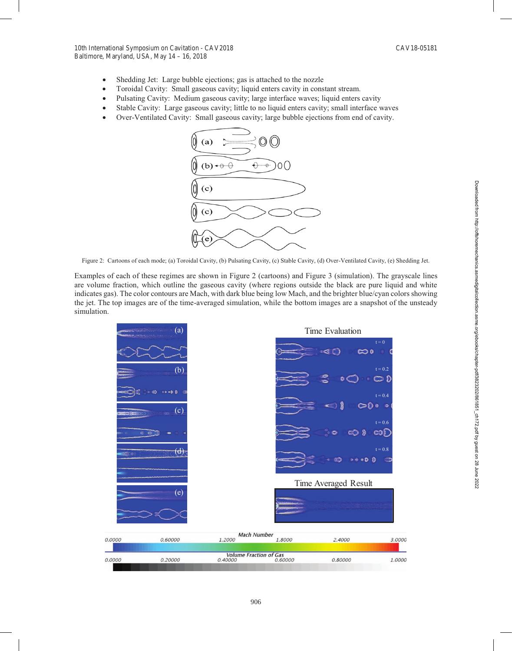- Shedding Jet: Large bubble ejections; gas is attached to the nozzle
- Toroidal Cavity: Small gaseous cavity; liquid enters cavity in constant stream.
- Pulsating Cavity: Medium gaseous cavity; large interface waves; liquid enters cavity
- Stable Cavity: Large gaseous cavity; little to no liquid enters cavity; small interface waves
- Over-Ventilated Cavity: Small gaseous cavity; large bubble ejections from end of cavity.



Figure 2: Cartoons of each mode; (a) Toroidal Cavity, (b) Pulsating Cavity, (c) Stable Cavity, (d) Over-Ventilated Cavity, (e) Shedding Jet.

Examples of each of these regimes are shown in Figure 2 (cartoons) and Figure 3 (simulation). The grayscale lines are volume fraction, which outline the gaseous cavity (where regions outside the black are pure liquid and white indicates gas). The color contours are Mach, with dark blue being low Mach, and the brighter blue/cyan colors showing the jet. The top images are of the time-averaged simulation, while the bottom images are a snapshot of the unsteady simulation.

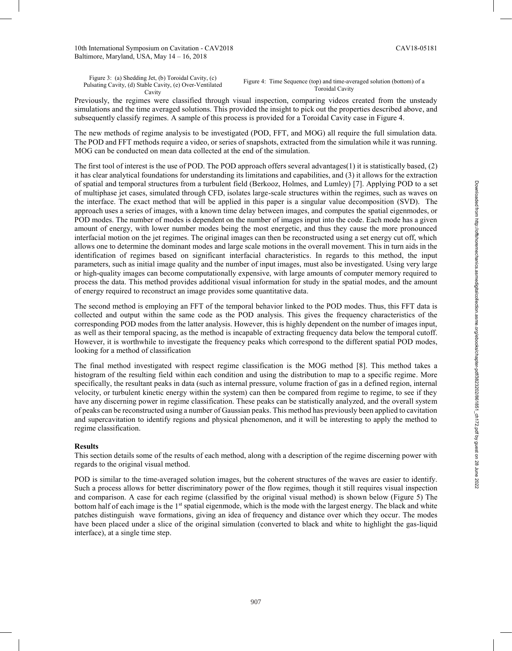Figure 3: (a) Shedding Jet, (b) Toroidal Cavity, (c) Pulsating Cavity, (d) Stable Cavity, (e) Over-Ventilated Cavity

Figure 4: Time Sequence (top) and time-averaged solution (bottom) of a Toroidal Cavity

Previously, the regimes were classified through visual inspection, comparing videos created from the unsteady simulations and the time averaged solutions. This provided the insight to pick out the properties described above, and subsequently classify regimes. A sample of this process is provided for a Toroidal Cavity case in Figure 4.

The new methods of regime analysis to be investigated (POD, FFT, and MOG) all require the full simulation data. The POD and FFT methods require a video, or series of snapshots, extracted from the simulation while it was running. MOG can be conducted on mean data collected at the end of the simulation.

The first tool of interest is the use of POD. The POD approach offers several advantages(1) it is statistically based, (2) it has clear analytical foundations for understanding its limitations and capabilities, and (3) it allows for the extraction of spatial and temporal structures from a turbulent field (Berkooz, Holmes, and Lumley) [7]. Applying POD to a set of multiphase jet cases, simulated through CFD, isolates large-scale structures within the regimes, such as waves on the interface. The exact method that will be applied in this paper is a singular value decomposition (SVD). The approach uses a series of images, with a known time delay between images, and computes the spatial eigenmodes, or POD modes. The number of modes is dependent on the number of images input into the code. Each mode has a given amount of energy, with lower number modes being the most energetic, and thus they cause the more pronounced interfacial motion on the jet regimes. The original images can then be reconstructed using a set energy cut off, which allows one to determine the dominant modes and large scale motions in the overall movement. This in turn aids in the identification of regimes based on significant interfacial characteristics. In regards to this method, the input parameters, such as initial image quality and the number of input images, must also be investigated. Using very large or high-quality images can become computationally expensive, with large amounts of computer memory required to process the data. This method provides additional visual information for study in the spatial modes, and the amount of energy required to reconstruct an image provides some quantitative data.

The second method is employing an FFT of the temporal behavior linked to the POD modes. Thus, this FFT data is collected and output within the same code as the POD analysis. This gives the frequency characteristics of the corresponding POD modes from the latter analysis. However, this is highly dependent on the number of images input, as well as their temporal spacing, as the method is incapable of extracting frequency data below the temporal cutoff. However, it is worthwhile to investigate the frequency peaks which correspond to the different spatial POD modes, looking for a method of classification

The final method investigated with respect regime classification is the MOG method [8]. This method takes a histogram of the resulting field within each condition and using the distribution to map to a specific regime. More specifically, the resultant peaks in data (such as internal pressure, volume fraction of gas in a defined region, internal velocity, or turbulent kinetic energy within the system) can then be compared from regime to regime, to see if they have any discerning power in regime classification. These peaks can be statistically analyzed, and the overall system of peaks can be reconstructed using a number of Gaussian peaks. This method has previously been applied to cavitation and supercavitation to identify regions and physical phenomenon, and it will be interesting to apply the method to regime classification.

# **Results**

This section details some of the results of each method, along with a description of the regime discerning power with regards to the original visual method.

POD is similar to the time-averaged solution images, but the coherent structures of the waves are easier to identify. Such a process allows for better discriminatory power of the flow regimes, though it still requires visual inspection and comparison. A case for each regime (classified by the original visual method) is shown below (Figure 5) The bottom half of each image is the 1<sup>st</sup> spatial eigenmode, which is the mode with the largest energy. The black and white patches distinguish wave formations, giving an idea of frequency and distance over which they occur. The modes have been placed under a slice of the original simulation (converted to black and white to highlight the gas-liquid interface), at a single time step.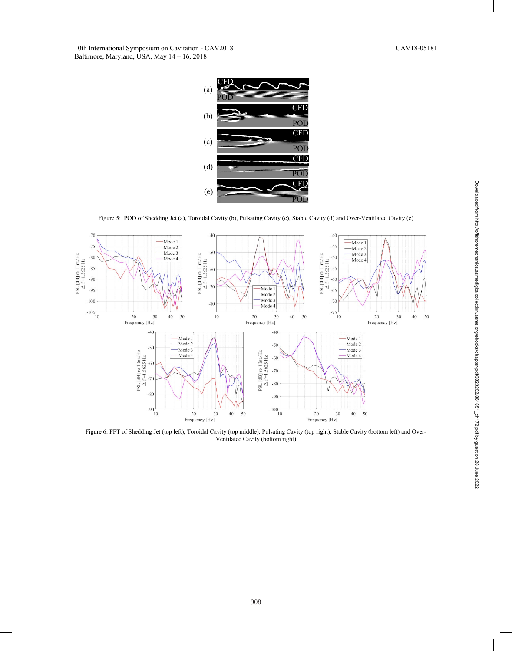

Figure 5: POD of Shedding Jet (a), Toroidal Cavity (b), Pulsating Cavity (c), Stable Cavity (d) and Over-Ventilated Cavity (e)



Figure 6: FFT of Shedding Jet (top left), Toroidal Cavity (top middle), Pulsating Cavity (top right), Stable Cavity (bottom left) and Over-Ventilated Cavity (bottom right)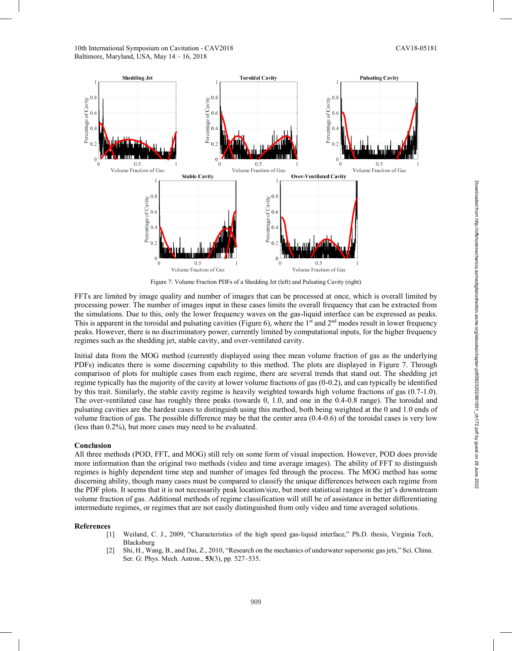

Figure 7: Volume Fraction PDFs of a Shedding Jet (left) and Pulsating Cavity (right)

FFTs are limited by image quality and number of images that can be processed at once, which is overall limited by processing power. The number of images input in these cases limits the overall frequency that can be extracted from the simulations. Due to this, only the lower frequency waves on the gas-liquid interface can be expressed as peaks. This is apparent in the toroidal and pulsating cavities (Figure 6), where the 1<sup>st</sup> and  $2<sup>nd</sup>$  modes result in lower frequency peaks. However, there is no discriminatory power, currently limited by computational inputs, for the higher frequency regimes such as the shedding jet, stable cavity, and over-ventilated cavity.

Initial data from the MOG method (currently displayed using thee mean volume fraction of gas as the underlying PDFs) indicates there is some discerning capability to this method. The plots are displayed in Figure 7. Through comparison of plots for multiple cases from each regime, there are several trends that stand out. The shedding jet regime typically has the majority of the cavity at lower volume fractions of gas (0-0.2), and can typically be identified by this trait. Similarly, the stable cavity regime is heavily weighted towards high volume fractions of gas (0.7-1.0). The over-ventilated case has roughly three peaks (towards 0, 1.0, and one in the 0.4-0.8 range). The toroidal and pulsating cavities are the hardest cases to distinguish using this method, both being weighted at the 0 and 1.0 ends of volume fraction of gas. The possible difference may be that the center area (0.4-0.6) of the toroidal cases is very low (less than 0.2%), but more cases may need to be evaluated.

#### **Conclusion**

All three methods (POD, FFT, and MOG) still rely on some form of visual inspection. However, POD does provide more information than the original two methods (video and time average images). The ability of FFT to distinguish regimes is highly dependent time step and number of images fed through the process. The MOG method has some discerning ability, though many cases must be compared to classify the unique differences between each regime from the PDF plots. It seems that it is not necessarily peak location/size, but more statistical ranges in the jet's downstream volume fraction of gas. Additional methods of regime classification will still be of assistance in better differentiating intermediate regimes, or regimes that are not easily distinguished from only video and time averaged solutions.

#### **References**

- [1] Weiland, C. J., 2009, "Characteristics of the high speed gas-liquid interface," Ph.D. thesis, Virginia Tech, Blacksburg
- [2] Shi, H., Wang, B., and Dai, Z., 2010, "Research on the mechanics of underwater supersonic gas jets," Sci. China. Ser. G: Phys. Mech. Astron., **53**(3), pp. 527–535.